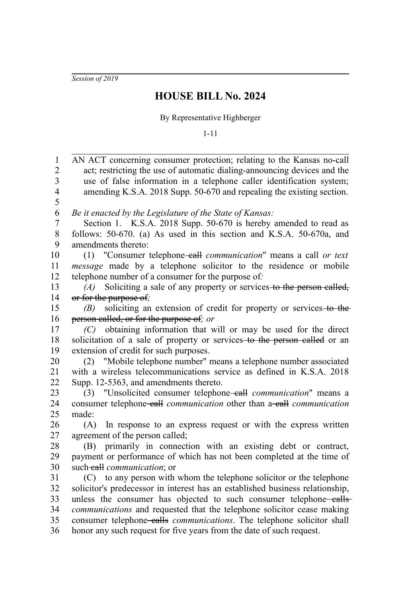*Session of 2019*

## **HOUSE BILL No. 2024**

## By Representative Highberger

1-11

| 1                       | AN ACT concerning consumer protection; relating to the Kansas no-call                                                                                 |
|-------------------------|-------------------------------------------------------------------------------------------------------------------------------------------------------|
| $\overline{c}$          | act; restricting the use of automatic dialing-announcing devices and the                                                                              |
| $\overline{\mathbf{3}}$ | use of false information in a telephone caller identification system;                                                                                 |
| $\overline{4}$          | amending K.S.A. 2018 Supp. 50-670 and repealing the existing section.                                                                                 |
| 5                       |                                                                                                                                                       |
| 6                       | Be it enacted by the Legislature of the State of Kansas:                                                                                              |
| $\overline{7}$          | Section 1. K.S.A. 2018 Supp. 50-670 is hereby amended to read as                                                                                      |
| 8                       | follows: 50-670. (a) As used in this section and K.S.A. 50-670a, and                                                                                  |
| 9                       | amendments thereto:                                                                                                                                   |
| 10                      | (1) "Consumer telephone-eall communication" means a call or text                                                                                      |
| 11                      | message made by a telephone solicitor to the residence or mobile                                                                                      |
| 12                      | telephone number of a consumer for the purpose of:                                                                                                    |
| 13                      | (A) Soliciting a sale of any property or services to the person called,                                                                               |
| 14                      | or for the purpose of;                                                                                                                                |
| 15                      | soliciting an extension of credit for property or services to the<br>(B)                                                                              |
| 16                      | person called, or for the purpose of; or                                                                                                              |
| 17                      | (C) obtaining information that will or may be used for the direct                                                                                     |
| 18                      | solicitation of a sale of property or services to the person ealled or an                                                                             |
| 19                      | extension of credit for such purposes.                                                                                                                |
| 20                      | (2) "Mobile telephone number" means a telephone number associated                                                                                     |
| 21                      | with a wireless telecommunications service as defined in K.S.A. 2018                                                                                  |
| 22                      | Supp. 12-5363, and amendments thereto.                                                                                                                |
| 23                      | (3) "Unsolicited consumer telephone-eall <i>communication</i> " means a                                                                               |
| 24                      | consumer telephone-eall <i>communication</i> other than a-eall <i>communication</i>                                                                   |
| 25                      | made:                                                                                                                                                 |
| $26\,$                  | In response to an express request or with the express written<br>(A)                                                                                  |
| $27\,$                  | agreement of the person called;                                                                                                                       |
| $28\,$                  | primarily in connection with an existing debt or contract,<br>(B)                                                                                     |
| 29                      | payment or performance of which has not been completed at the time of                                                                                 |
| 30<br>31                | such-eall communication; or                                                                                                                           |
| 32                      | (C) to any person with whom the telephone solicitor or the telephone<br>solicitor's predecessor in interest has an established business relationship, |
| 33                      | unless the consumer has objected to such consumer telephone-ealls-                                                                                    |
| 34                      | communications and requested that the telephone solicitor cease making                                                                                |
| 35                      | consumer telephone-ealls <i>communications</i> . The telephone solicitor shall                                                                        |
| 36                      | honor any such request for five years from the date of such request.                                                                                  |
|                         |                                                                                                                                                       |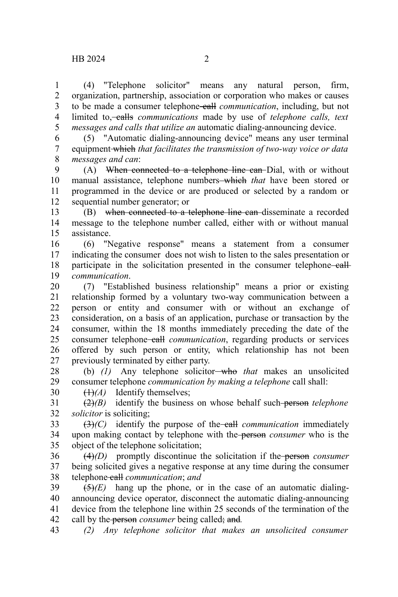(4) "Telephone solicitor" means any natural person, firm, organization, partnership, association or corporation who makes or causes to be made a consumer telephone call *communication*, including, but not limited to, **calls** *communications* made by use of *telephone calls*, *text messages and calls that utilize an* automatic dialing-announcing device. 1 2 3 4 5

(5) "Automatic dialing-announcing device" means any user terminal equipment which *that facilitates the transmission of two-way voice or data messages and can*: 6 7 8

(A) When connected to a telephone line can-Dial, with or without manual assistance, telephone numbers which *that* have been stored or programmed in the device or are produced or selected by a random or sequential number generator; or 9 10 11 12

(B) when connected to a telephone line can disseminate a recorded message to the telephone number called, either with or without manual assistance. 13 14 15

(6) "Negative response" means a statement from a consumer indicating the consumer does not wish to listen to the sales presentation or participate in the solicitation presented in the consumer telephone-eall*communication*. 16 17 18 19

(7) "Established business relationship" means a prior or existing relationship formed by a voluntary two-way communication between a person or entity and consumer with or without an exchange of consideration, on a basis of an application, purchase or transaction by the consumer, within the 18 months immediately preceding the date of the consumer telephone-call *communication*, regarding products or services offered by such person or entity, which relationship has not been previously terminated by either party. 20 21 22 23 24 25 26 27

(b) (1) Any telephone solicitor-who *that* makes an unsolicited consumer telephone *communication by making a telephone* call shall: 28 29

(1)*(A)* Identify themselves;

30

(2)*(B)* identify the business on whose behalf such person *telephone solicitor* is soliciting; 31 32

 $(3)$ *(C)* identify the purpose of the call *communication* immediately upon making contact by telephone with the person *consumer* who is the object of the telephone solicitation; 33 34 35

(4)*(D)* promptly discontinue the solicitation if the person *consumer* being solicited gives a negative response at any time during the consumer telephone call *communication*; *and* 36 37 38

 $(5)(E)$  hang up the phone, or in the case of an automatic dialingannouncing device operator, disconnect the automatic dialing-announcing device from the telephone line within 25 seconds of the termination of the call by the person *consumer* being called; and*.* 39 40 41 42

*(2) Any telephone solicitor that makes an unsolicited consumer* 43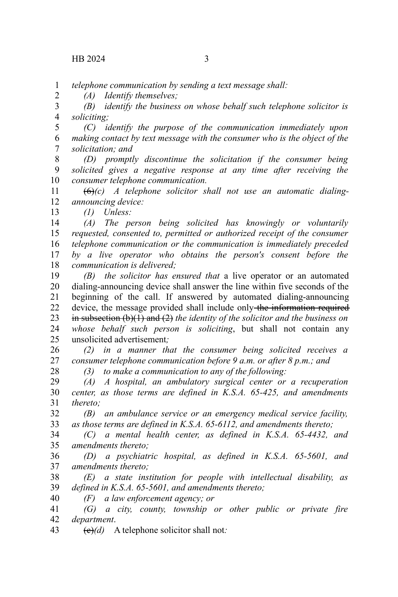2

13

*telephone communication by sending a text message shall:* 1

*(A) Identify themselves;*

*(B) identify the business on whose behalf such telephone solicitor is soliciting;* 3 4

*(C) identify the purpose of the communication immediately upon making contact by text message with the consumer who is the object of the solicitation; and* 5 6 7

*(D) promptly discontinue the solicitation if the consumer being solicited gives a negative response at any time after receiving the consumer telephone communication.* 8 9 10

(6)*(c) A telephone solicitor shall not use an automatic dialingannouncing device:* 11 12

*(1) Unless:*

*(A) The person being solicited has knowingly or voluntarily requested, consented to, permitted or authorized receipt of the consumer telephone communication or the communication is immediately preceded by a live operator who obtains the person's consent before the communication is delivered;* 14 15 16 17 18

*(B) the solicitor has ensured that* a live operator or an automated dialing-announcing device shall answer the line within five seconds of the beginning of the call. If answered by automated dialing-announcing device, the message provided shall include only the information required in subsection (b)(1) and (2) *the identity of the solicitor and the business on whose behalf such person is soliciting*, but shall not contain any unsolicited advertisement*;* 19 20 21 22 23 24 25

*(2) in a manner that the consumer being solicited receives a consumer telephone communication before 9 a.m. or after 8 p.m.; and* 26 27 28

*(3) to make a communication to any of the following:*

*(A) A hospital, an ambulatory surgical center or a recuperation center, as those terms are defined in K.S.A. 65-425, and amendments thereto;* 29 30 31

*(B) an ambulance service or an emergency medical service facility, as those terms are defined in K.S.A. 65-6112, and amendments thereto;* 32 33

*(C) a mental health center, as defined in K.S.A. 65-4432, and amendments thereto;*  34 35

*(D) a psychiatric hospital, as defined in K.S.A. 65-5601, and amendments thereto;* 36 37

*(E) a state institution for people with intellectual disability, as defined in K.S.A. 65-5601, and amendments thereto;* 38 39

*(F) a law enforcement agency; or* 40

*(G) a city, county, township or other public or private fire department*. 41 42

(c)*(d)* A telephone solicitor shall not*:* 43